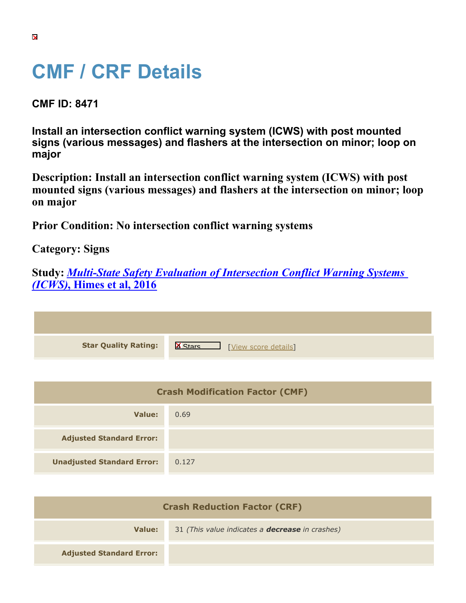## **CMF / CRF Details**

**CMF ID: 8471**

**Install an intersection conflict warning system (ICWS) with post mounted signs (various messages) and flashers at the intersection on minor; loop on major**

**Description: Install an intersection conflict warning system (ICWS) with post mounted signs (various messages) and flashers at the intersection on minor; loop on major**

**Prior Condition: No intersection conflict warning systems**

**Category: Signs**

|                                   |  | <b>Study: Multi-State Safety Evaluation of Intersection Conflict Warning Systems</b> |  |  |
|-----------------------------------|--|--------------------------------------------------------------------------------------|--|--|
| <i>(ICWS)</i> , Himes et al, 2016 |  |                                                                                      |  |  |

| <b>Star Quality Rating:</b> | $\mathsf{X}$<br>[View score details] |
|-----------------------------|--------------------------------------|

| <b>Crash Modification Factor (CMF)</b> |       |  |
|----------------------------------------|-------|--|
| Value:                                 | 0.69  |  |
| <b>Adjusted Standard Error:</b>        |       |  |
| <b>Unadjusted Standard Error:</b>      | 0.127 |  |

| <b>Crash Reduction Factor (CRF)</b> |                                                        |  |  |
|-------------------------------------|--------------------------------------------------------|--|--|
| Value:                              | 31 (This value indicates a <b>decrease</b> in crashes) |  |  |
| <b>Adjusted Standard Error:</b>     |                                                        |  |  |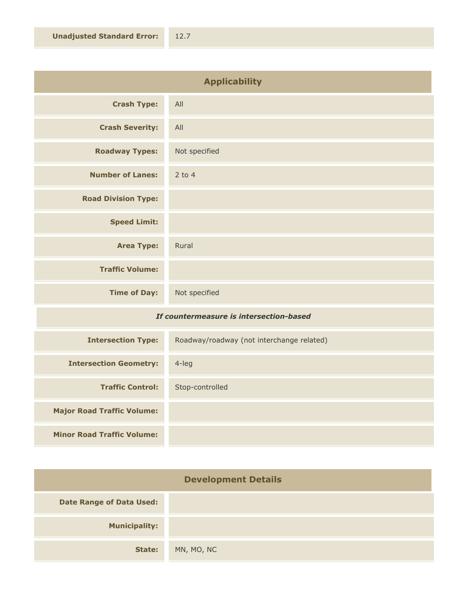| <b>Applicability</b>                    |               |  |
|-----------------------------------------|---------------|--|
| <b>Crash Type:</b>                      | All           |  |
| <b>Crash Severity:</b>                  | All           |  |
| <b>Roadway Types:</b>                   | Not specified |  |
| <b>Number of Lanes:</b>                 | $2$ to 4      |  |
| <b>Road Division Type:</b>              |               |  |
| <b>Speed Limit:</b>                     |               |  |
| <b>Area Type:</b>                       | Rural         |  |
| <b>Traffic Volume:</b>                  |               |  |
| <b>Time of Day:</b>                     | Not specified |  |
| If countermeasure is intersection-hased |               |  |

## *If countermeasure is intersection-based*

| <b>Intersection Type:</b>         | Roadway/roadway (not interchange related) |
|-----------------------------------|-------------------------------------------|
| <b>Intersection Geometry:</b>     | $4$ -leg                                  |
| <b>Traffic Control:</b>           | Stop-controlled                           |
| <b>Major Road Traffic Volume:</b> |                                           |
| <b>Minor Road Traffic Volume:</b> |                                           |

| <b>Development Details</b>      |            |  |
|---------------------------------|------------|--|
| <b>Date Range of Data Used:</b> |            |  |
| <b>Municipality:</b>            |            |  |
| State:                          | MN, MO, NC |  |